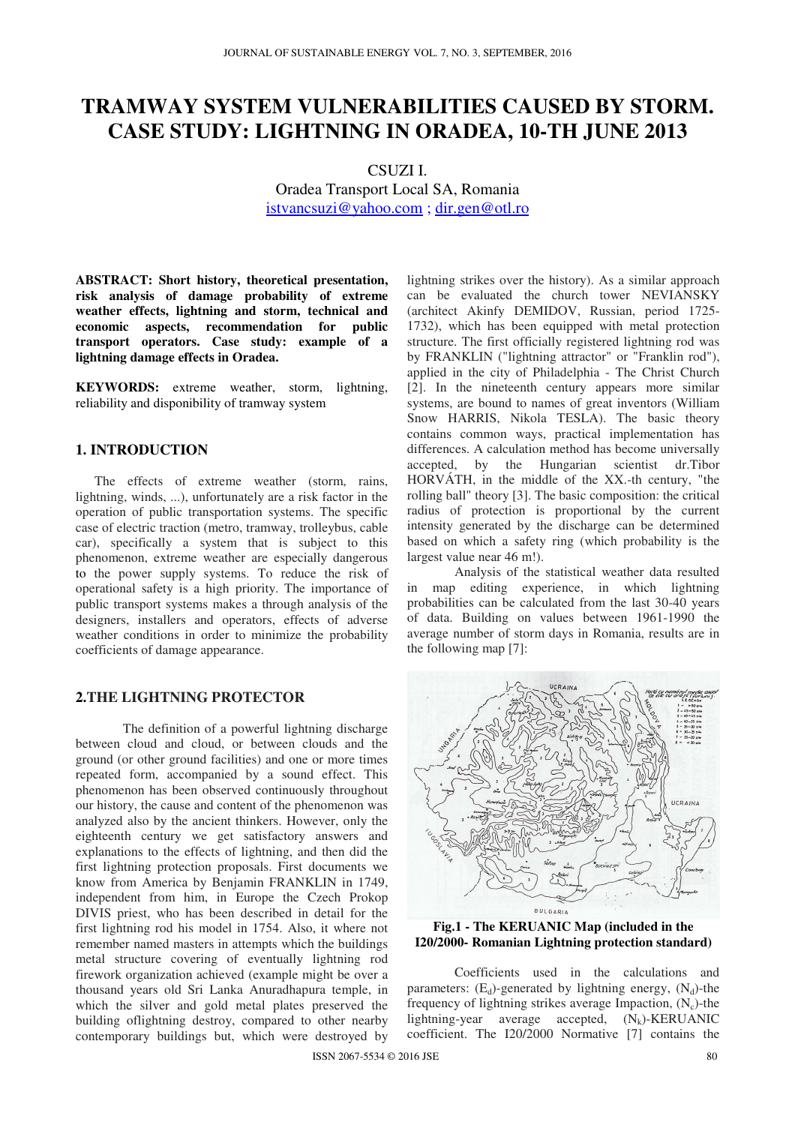# **TRAMWAY SYSTEM VULNERABILITIES CAUSED BY STORM. CASE STUDY: LIGHTNING IN ORADEA, 10-TH JUNE 2013**

CSUZI I. Oradea Transport Local SA, Romania istvancsuzi@yahoo.com ; dir.gen@otl.ro

**ABSTRACT: Short history, theoretical presentation, risk analysis of damage probability of extreme weather effects, lightning and storm, technical and economic aspects, recommendation for public transport operators. Case study: example of a lightning damage effects in Oradea.** 

**KEYWORDS:** extreme weather, storm, lightning, reliability and disponibility of tramway system

## **1. INTRODUCTION**

The effects of extreme weather (storm, rains, lightning, winds, ...), unfortunately are a risk factor in the operation of public transportation systems. The specific case of electric traction (metro, tramway, trolleybus, cable car), specifically a system that is subject to this phenomenon, extreme weather are especially dangerous to the power supply systems. To reduce the risk of operational safety is a high priority. The importance of public transport systems makes a through analysis of the designers, installers and operators, effects of adverse weather conditions in order to minimize the probability coefficients of damage appearance.

## **2.THE LIGHTNING PROTECTOR**

 The definition of a powerful lightning discharge between cloud and cloud, or between clouds and the ground (or other ground facilities) and one or more times repeated form, accompanied by a sound effect. This phenomenon has been observed continuously throughout our history, the cause and content of the phenomenon was analyzed also by the ancient thinkers. However, only the eighteenth century we get satisfactory answers and explanations to the effects of lightning, and then did the first lightning protection proposals. First documents we know from America by Benjamin FRANKLIN in 1749, independent from him, in Europe the Czech Prokop DIVIS priest, who has been described in detail for the first lightning rod his model in 1754. Also, it where not remember named masters in attempts which the buildings metal structure covering of eventually lightning rod firework organization achieved (example might be over a thousand years old Sri Lanka Anuradhapura temple, in which the silver and gold metal plates preserved the building oflightning destroy, compared to other nearby contemporary buildings but, which were destroyed by

lightning strikes over the history). As a similar approach can be evaluated the church tower NEVIANSKY (architect Akinfy DEMIDOV, Russian, period 1725- 1732), which has been equipped with metal protection structure. The first officially registered lightning rod was by FRANKLIN ("lightning attractor" or "Franklin rod"), applied in the city of Philadelphia - The Christ Church [2]. In the nineteenth century appears more similar systems, are bound to names of great inventors (William Snow HARRIS, Nikola TESLA). The basic theory contains common ways, practical implementation has differences. A calculation method has become universally accepted, by the Hungarian scientist dr.Tibor HORVÁTH, in the middle of the XX.-th century, "the rolling ball" theory [3]. The basic composition: the critical radius of protection is proportional by the current intensity generated by the discharge can be determined based on which a safety ring (which probability is the largest value near 46 m!).

Analysis of the statistical weather data resulted in map editing experience, in which lightning probabilities can be calculated from the last 30-40 years of data. Building on values between 1961-1990 the average number of storm days in Romania, results are in the following map [7]:



**Fig.1 - The KERUANIC Map (included in the I20/2000- Romanian Lightning protection standard)** 

Coefficients used in the calculations and parameters:  $(E_d)$ -generated by lightning energy,  $(N_d)$ -the frequency of lightning strikes average Impaction,  $(N_c)$ -the lightning-year average accepted,  $(N_k)$ -KERUANIC coefficient. The I20/2000 Normative [7] contains the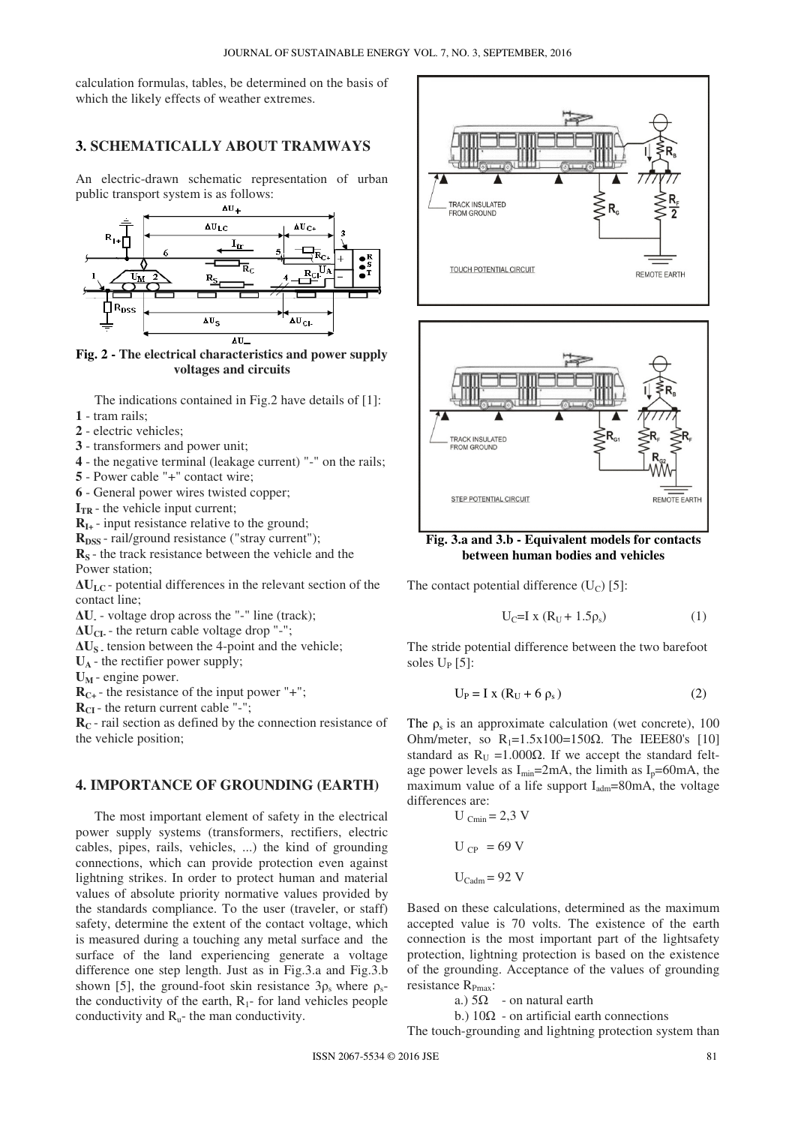calculation formulas, tables, be determined on the basis of which the likely effects of weather extremes.

#### **3. SCHEMATICALLY ABOUT TRAMWAYS**

An electric-drawn schematic representation of urban public transport system is as follows:



**Fig. 2 - The electrical characteristics and power supply voltages and circuits**

The indications contained in Fig.2 have details of [1]: **1** - tram rails;

- **2** electric vehicles;
- **3** transformers and power unit;
- **4** the negative terminal (leakage current) "-" on the rails;
- **5**  Power cable "+" contact wire;

**6** - General power wires twisted copper;

 $\mathbf{I}_{TR}$  - the vehicle input current;

 $R_{I+}$  - input resistance relative to the ground;

**R**<sub>DSS</sub> - rail/ground resistance ("stray current");

**RS** - the track resistance between the vehicle and the Power station;

 $\Delta U_{\text{LC}}$  - potential differences in the relevant section of the contact line;

**∆U-** - voltage drop across the "-" line (track);

 $\Delta U_{CI}$  - the return cable voltage drop "-";

**∆US -** tension between the 4-point and the vehicle;

 $U_A$  - the rectifier power supply;

 $U_M$  - engine power.

 $R_{C+}$  - the resistance of the input power "+";

**RCI** - the return current cable "-";

**RC** - rail section as defined by the connection resistance of the vehicle position;

#### **4. IMPORTANCE OF GROUNDING (EARTH)**

The most important element of safety in the electrical power supply systems (transformers, rectifiers, electric cables, pipes, rails, vehicles, ...) the kind of grounding connections, which can provide protection even against lightning strikes. In order to protect human and material values of absolute priority normative values provided by the standards compliance. To the user (traveler, or staff) safety, determine the extent of the contact voltage, which is measured during a touching any metal surface and the surface of the land experiencing generate a voltage difference one step length. Just as in Fig.3.a and Fig.3.b shown [5], the ground-foot skin resistance  $3\rho_s$  where  $\rho_s$ the conductivity of the earth,  $R_1$ - for land vehicles people conductivity and  $R_{u}$ - the man conductivity.





**Fig. 3.a and 3.b - Equivalent models for contacts between human bodies and vehicles**

The contact potential difference  $(U_C)$  [5]:

$$
U_C=I \times (R_U+1.5\rho_s) \tag{1}
$$

The stride potential difference between the two barefoot soles  $U_P$  [5]:

$$
U_P = I \times (R_U + 6 \rho_s) \tag{2}
$$

The  $\rho_s$  is an approximate calculation (wet concrete), 100 Ohm/meter, so  $R_1=1.5x100=150\Omega$ . The IEEE80's [10] standard as  $R_U = 1.000 \Omega$ . If we accept the standard feltage power levels as  $I_{\text{min}}$ =2mA, the limith as  $I_{p}$ =60mA, the maximum value of a life support  $I_{\text{adm}}$ =80mA, the voltage differences are:

$$
U_{\text{Cmin}} = 2.3 \text{ V}
$$

$$
U_{\text{CP}} = 69 \text{ V}
$$

$$
U_{\text{Cadm}} = 92 \text{ V}
$$

Based on these calculations, determined as the maximum accepted value is 70 volts. The existence of the earth connection is the most important part of the lightsafety protection, lightning protection is based on the existence of the grounding. Acceptance of the values of grounding resistance  $R_{Pmax}$ :

a.)  $5\Omega$  - on natural earth

b.)  $10\Omega$  - on artificial earth connections

The touch-grounding and lightning protection system than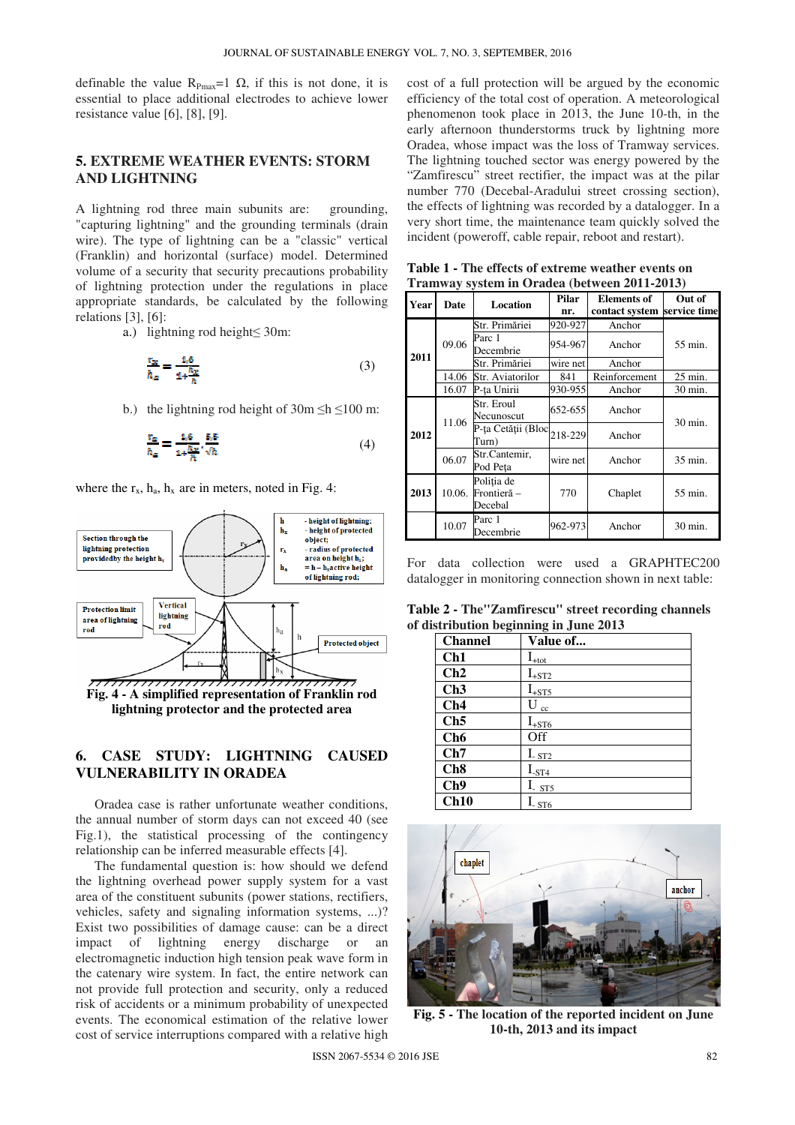definable the value  $R_{Pmax}=1 \Omega$ , if this is not done, it is essential to place additional electrodes to achieve lower resistance value [6], [8], [9].

## **5. EXTREME WEATHER EVENTS: STORM AND LIGHTNING**

A lightning rod three main subunits are: grounding, "capturing lightning" and the grounding terminals (drain wire). The type of lightning can be a "classic" vertical (Franklin) and horizontal (surface) model. Determined volume of a security that security precautions probability of lightning protection under the regulations in place appropriate standards, be calculated by the following relations [3], [6]:

a.) lightning rod height≤ 30m:

$$
\frac{r_{\alpha}}{h_{\alpha}} = \frac{1.6}{1 + \frac{h_{\chi}}{h}}\tag{3}
$$

b.) the lightning rod height of  $30m \leq h \leq 100$  m:

$$
\frac{r_a}{h_a} = \frac{1.6}{1 + \frac{h_a}{h}} \cdot \frac{5.5}{\sqrt{h}} \tag{4}
$$

where the  $r_x$ ,  $h_a$ ,  $h_x$  are in meters, noted in Fig. 4:



**lightning protector and the protected area** 

# **6. CASE STUDY: LIGHTNING CAUSED VULNERABILITY IN ORADEA**

Oradea case is rather unfortunate weather conditions, the annual number of storm days can not exceed 40 (see Fig.1), the statistical processing of the contingency relationship can be inferred measurable effects [4].

The fundamental question is: how should we defend the lightning overhead power supply system for a vast area of the constituent subunits (power stations, rectifiers, vehicles, safety and signaling information systems, ...)? Exist two possibilities of damage cause: can be a direct impact of lightning energy discharge or an electromagnetic induction high tension peak wave form in the catenary wire system. In fact, the entire network can not provide full protection and security, only a reduced risk of accidents or a minimum probability of unexpected events. The economical estimation of the relative lower cost of service interruptions compared with a relative high

cost of a full protection will be argued by the economic efficiency of the total cost of operation. A meteorological phenomenon took place in 2013, the June 10-th, in the early afternoon thunderstorms truck by lightning more Oradea, whose impact was the loss of Tramway services. The lightning touched sector was energy powered by the "Zamfirescu" street rectifier, the impact was at the pilar number 770 (Decebal-Aradului street crossing section), the effects of lightning was recorded by a datalogger. In a very short time, the maintenance team quickly solved the incident (poweroff, cable repair, reboot and restart).

|      |        |                     | $\frac{1}{2}$ $\frac{1}{2}$ $\frac{1}{2}$ $\frac{1}{2}$ $\frac{1}{2}$ $\frac{1}{2}$ $\frac{1}{2}$ $\frac{1}{2}$ $\frac{1}{2}$ $\frac{1}{2}$ $\frac{1}{2}$ $\frac{1}{2}$ $\frac{1}{2}$ $\frac{1}{2}$ $\frac{1}{2}$ $\frac{1}{2}$ $\frac{1}{2}$ $\frac{1}{2}$ $\frac{1}{2}$ $\frac{1}{2}$ $\frac{1}{2}$ $\frac{1}{2}$<br>Pilar |                             |           |  |
|------|--------|---------------------|------------------------------------------------------------------------------------------------------------------------------------------------------------------------------------------------------------------------------------------------------------------------------------------------------------------------------|-----------------------------|-----------|--|
| Year | Date   | Location            |                                                                                                                                                                                                                                                                                                                              | <b>Elements of</b>          | Out of    |  |
|      |        |                     | nr.                                                                                                                                                                                                                                                                                                                          | contact system service time |           |  |
| 2011 | 09.06  | Str. Primăriei      | 920-927                                                                                                                                                                                                                                                                                                                      | Anchor                      | 55 min.   |  |
|      |        | Parc 1<br>Decembrie | 954-967                                                                                                                                                                                                                                                                                                                      | Anchor                      |           |  |
|      |        | Str. Primăriei      | wire net                                                                                                                                                                                                                                                                                                                     | Anchor                      |           |  |
|      | 14.06  | Str. Aviatorilor    | 841                                                                                                                                                                                                                                                                                                                          | Reinforcement               | $25$ min. |  |
|      | 16.07  | P-ța Unirii         | 930-955                                                                                                                                                                                                                                                                                                                      | Anchor                      | 30 min.   |  |
| 2012 | 11.06  | Str. Eroul          | 652-655                                                                                                                                                                                                                                                                                                                      | Anchor                      | 30 min.   |  |
|      |        | Necunoscut          |                                                                                                                                                                                                                                                                                                                              |                             |           |  |
|      |        | P-ța Cetății (Bloc  | 218-229                                                                                                                                                                                                                                                                                                                      | Anchor                      |           |  |
|      |        | Turn)               |                                                                                                                                                                                                                                                                                                                              |                             |           |  |
|      | 06.07  | Str.Cantemir,       | wire net                                                                                                                                                                                                                                                                                                                     | Anchor                      | 35 min.   |  |
|      |        | Pod Peța            |                                                                                                                                                                                                                                                                                                                              |                             |           |  |
| 2013 | 10.06. | Poliția de          | 770                                                                                                                                                                                                                                                                                                                          | Chaplet                     | 55 min.   |  |
|      |        | Frontieră -         |                                                                                                                                                                                                                                                                                                                              |                             |           |  |
|      |        | Decebal             |                                                                                                                                                                                                                                                                                                                              |                             |           |  |
|      | 10.07  | Parc 1              | 962-973                                                                                                                                                                                                                                                                                                                      | Anchor                      | 30 min.   |  |
|      |        | Decembrie           |                                                                                                                                                                                                                                                                                                                              |                             |           |  |

**Table 1 - The effects of extreme weather events on Tramway system in Oradea (between 2011-2013)** 

For data collection were used a GRAPHTEC200 datalogger in monitoring connection shown in next table:

**Table 2 - The"Zamfirescu" street recording channels of distribution beginning in June 2013** 

| <b>Channel</b>  | Value of                  |
|-----------------|---------------------------|
| Ch1             | $I_{\pm \underline{tot}}$ |
| Ch2             | $I_{+ST2}$                |
| Ch3             | $I_{+ST5}$                |
| Ch4             | U<br>cc                   |
| Ch5             | $I_{+ST6}$                |
| Ch <sub>6</sub> | Off                       |
| Ch7             | $I_{-ST2}$                |
| Ch <sub>8</sub> | $I_{-ST4}$                |
| Ch9             | $I_{-ST5}$                |
| Ch10            | $I_{ST6}$                 |



**Fig. 5 - The location of the reported incident on June 10-th, 2013 and its impact**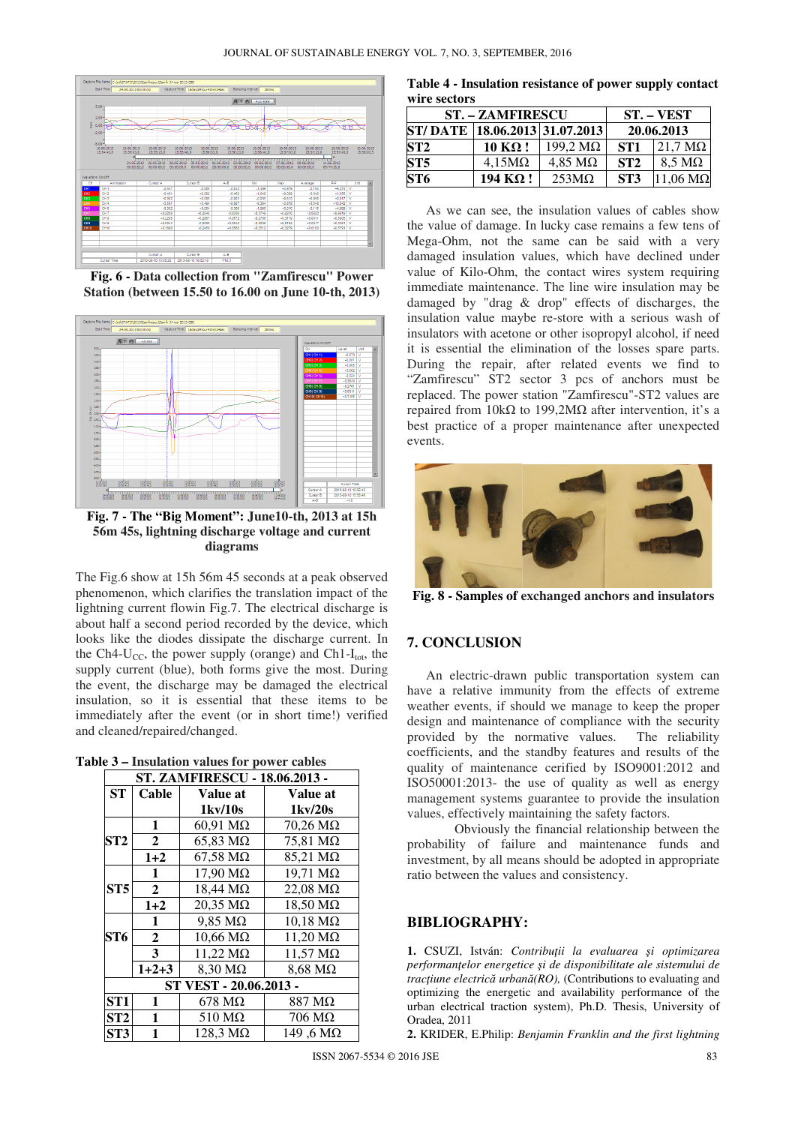

**Fig. 6 - Data collection from "Zamfirescu" Power Station (between 15.50 to 16.00 on June 10-th, 2013)** 



**Fig. 7 - The "Big Moment": June10-th, 2013 at 15h 56m 45s, lightning discharge voltage and current diagrams**

The Fig.6 show at 15h 56m 45 seconds at a peak observed phenomenon, which clarifies the translation impact of the lightning current flowin Fig.7. The electrical discharge is about half a second period recorded by the device, which looks like the diodes dissipate the discharge current. In the Ch4- $U_{CC}$ , the power supply (orange) and Ch1- $I_{tot}$ , the supply current (blue), both forms give the most. During the event, the discharge may be damaged the electrical insulation, so it is essential that these items to be immediately after the event (or in short time!) verified and cleaned/repaired/changed.

**Table 3 – Insulation values for power cables**

| <b>ST. ZAMFIRESCU - 18.06.2013 -</b> |                  |                         |                         |  |  |  |  |
|--------------------------------------|------------------|-------------------------|-------------------------|--|--|--|--|
| <b>ST</b>                            | Cable            | Value at                | Value at                |  |  |  |  |
|                                      |                  | 1kv/10s                 | $1 \times 20s$          |  |  |  |  |
|                                      | 1                | $60,91$ M $\Omega$      | $70,26 \text{ M}\Omega$ |  |  |  |  |
| ST <sub>2</sub>                      | $\overline{2}$   | $65,83 \text{ M}\Omega$ | 75,81 MΩ                |  |  |  |  |
|                                      | $1+2$            | $67,58 \text{ M}\Omega$ | 85,21 MΩ                |  |  |  |  |
|                                      | $\mathbf{1}$     | 17,90 MΩ                | 19,71 MΩ                |  |  |  |  |
| ST <sub>5</sub>                      | $\overline{2}$   | 18,44 MΩ                | 22,08 MΩ                |  |  |  |  |
|                                      | $1+2$            | 20,35 MΩ                | $18,50 \text{ M}\Omega$ |  |  |  |  |
| ST6                                  | 1                | $9,85 \text{ M}\Omega$  | $10,18 \text{ M}\Omega$ |  |  |  |  |
|                                      | $\boldsymbol{2}$ | $10,66 \text{ M}\Omega$ | 11,20 MΩ                |  |  |  |  |
|                                      | 3                | $11,22 \text{ M}\Omega$ | $11,57 \text{ M}\Omega$ |  |  |  |  |
|                                      | $1+2+3$          | 8,30 MΩ                 | $8,68 \text{ M}\Omega$  |  |  |  |  |
| ST VEST - 20.06.2013 -               |                  |                         |                         |  |  |  |  |
| ST <sub>1</sub>                      | 1                | $678 \text{ M}\Omega$   | $887 \text{ M}\Omega$   |  |  |  |  |
| ST2                                  | 1                | $510 \text{ M}\Omega$   | 706 MΩ                  |  |  |  |  |
| ST <sub>3</sub>                      | 1                | 128,3 MΩ                | 149,6 MΩ                |  |  |  |  |

**Table 4 - Insulation resistance of power supply contact wire sectors** 

|                                | <b>ST. - ZAMFIRESCU</b> | <b>ST. – VEST</b>       |                 |                         |  |  |  |  |
|--------------------------------|-------------------------|-------------------------|-----------------|-------------------------|--|--|--|--|
| ST/DATE  18.06.2013 31.07.2013 |                         |                         | 20.06.2013      |                         |  |  |  |  |
| ST2                            | $10 K\Omega$ !          | $199.2 \text{ M}\Omega$ | ST <sub>1</sub> | $121.7 \text{ M}\Omega$ |  |  |  |  |
| ST5                            | $4.15M\Omega$           | $4.85 \text{ M}\Omega$  | ST2             | $8.5 \text{ M}\Omega$   |  |  |  |  |
| ST6                            | 194 $K\Omega$ !         | $253M\Omega$            | ST <sub>3</sub> | $11.06 \text{ M}\Omega$ |  |  |  |  |

As we can see, the insulation values of cables show the value of damage. In lucky case remains a few tens of Mega-Ohm, not the same can be said with a very damaged insulation values, which have declined under value of Kilo-Ohm, the contact wires system requiring immediate maintenance. The line wire insulation may be damaged by "drag & drop" effects of discharges, the insulation value maybe re-store with a serious wash of insulators with acetone or other isopropyl alcohol, if need it is essential the elimination of the losses spare parts. During the repair, after related events we find to "Zamfirescu" ST2 sector 3 pcs of anchors must be replaced. The power station "Zamfirescu"-ST2 values are repaired from 10kΩ to 199,2MΩ after intervention, it's a best practice of a proper maintenance after unexpected events.



**Fig. 8 - Samples of exchanged anchors and insulators**

## **7. CONCLUSION**

An electric-drawn public transportation system can have a relative immunity from the effects of extreme weather events, if should we manage to keep the proper design and maintenance of compliance with the security provided by the normative values. The reliability coefficients, and the standby features and results of the quality of maintenance cerified by ISO9001:2012 and ISO50001:2013- the use of quality as well as energy management systems guarantee to provide the insulation values, effectively maintaining the safety factors.

 Obviously the financial relationship between the probability of failure and maintenance funds and investment, by all means should be adopted in appropriate ratio between the values and consistency.

#### **BIBLIOGRAPHY:**

**1.** CSUZI, István: *Contribuţii la evaluarea şi optimizarea performanţelor energetice şi de disponibilitate ale sistemului de tracţiune electrică urbană(RO),* (Contributions to evaluating and optimizing the energetic and availability performance of the urban electrical traction system), Ph.D. Thesis, University of Oradea, 2011

**2.** KRIDER, E.Philip: *Benjamin Franklin and the first lightning*